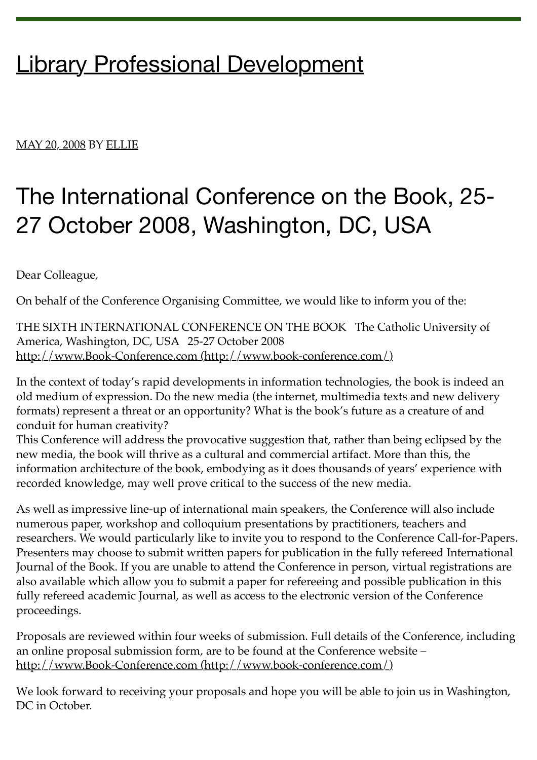## [Library Professional Development](https://libprofdev.wordpress.com/)

## [MAY 20, 2008](https://libprofdev.wordpress.com/2008/05/20/the-international-conference-on-the-book-25-27-october-2008-washington-dc-usa/) BY [ELLIE](https://libprofdev.wordpress.com/author/ellieheartslibraries/)

## The International Conference on the Book, 25- 27 October 2008, Washington, DC, USA

Dear Colleague,

On behalf of the Conference Organising Committee, we would like to inform you of the:

THE SIXTH INTERNATIONAL CONFERENCE ON THE BOOK The Catholic University of America, Washington, DC, USA 25-27 October 2008 [http://www.Book-Conference.com \(http://www.book-conference.com/\)](http://www.book-conference.com/)

In the context of today's rapid developments in information technologies, the book is indeed an old medium of expression. Do the new media (the internet, multimedia texts and new delivery formats) represent a threat or an opportunity? What is the book's future as a creature of and conduit for human creativity?

This Conference will address the provocative suggestion that, rather than being eclipsed by the new media, the book will thrive as a cultural and commercial artifact. More than this, the information architecture of the book, embodying as it does thousands of years' experience with recorded knowledge, may well prove critical to the success of the new media.

As well as impressive line-up of international main speakers, the Conference will also include numerous paper, workshop and colloquium presentations by practitioners, teachers and researchers. We would particularly like to invite you to respond to the Conference Call-for-Papers. Presenters may choose to submit written papers for publication in the fully refereed International Journal of the Book. If you are unable to attend the Conference in person, virtual registrations are also available which allow you to submit a paper for refereeing and possible publication in this fully refereed academic Journal, as well as access to the electronic version of the Conference proceedings.

Proposals are reviewed within four weeks of submission. Full details of the Conference, including an online proposal submission form, are to be found at the Conference website – [http://www.Book-Conference.com \(http://www.book-conference.com/\)](http://www.book-conference.com/)

We look forward to receiving your proposals and hope you will be able to join us in Washington, DC in October.